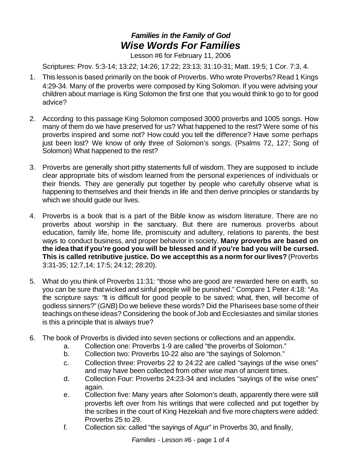## *Families in the Family of God Wise Words For Families*

Lesson #6 for February 11, 2006

Scriptures: Prov. 5:3-14; 13:22; 14:26; 17:22; 23:13; 31:10-31; Matt. 19:5; 1 Cor. 7:3, 4.

- 1. This lessonis based primarily on the book of Proverbs. Who wrote Proverbs? Read 1 Kings 4:29-34. Many of the proverbs were composed by King Solomon. If you were advising your children about marriage is King Solomon the first one that you would think to go to for good advice?
- 2. According to this passage King Solomon composed 3000 proverbs and 1005 songs. How many of them do we have preserved for us? What happened to the rest? Were some of his proverbs inspired and some not? How could you tell the difference? Have some perhaps just been lost? We know of only three of Solomon's songs. (Psalms 72, 127; Song of Solomon) What happened to the rest?
- 3. Proverbs are generally short pithy statements full of wisdom. They are supposed to include clear appropriate bits of wisdom learned from the personal experiences of individuals or their friends. They are generally put together by people who carefully observe what is happening to themselves and their friends in life and then derive principles or standards by which we should guide our lives.
- 4. Proverbs is a book that is a part of the Bible know as wisdom literature. There are no proverbs about worship in the sanctuary. But there are numerous proverbs about education, family life, home life, promiscuity and adultery, relations to parents, the best ways to conduct business, and proper behavior in society. **Many proverbs are based on the idea that if you're good you will be blessed and if you're bad you will be cursed. This is called retributive justice. Do we acceptthis as a norm for ourlives?** (Proverbs 3:31-35; 12:7,14; 17:5; 24:12; 28:20).
- 5. What do you think of Proverbs 11:31: "those who are good are rewarded here on earth, so you can be sure thatwicked and sinful people will be punished." Compare 1 Peter 4:18: "As the scripture says: "It is difficult for good people to be saved; what, then, will become of godless sinners?" (*GNB*) Do we believe these words? Did the Pharisees base some of their teachings onthese ideas? Considering the book of Job and Ecclesiastes and similar stories is this a principle that is always true?
- 6. The book of Proverbs is divided into seven sections or collections and an appendix.
	- a. Collection one: Proverbs 1-9 are called "the proverbs of Solomon."
	- b. Collection two: Proverbs 10-22 also are "the sayings of Solomon."
	- c. Collection three: Proverbs 22 to 24:22 are called "sayings of the wise ones" and may have been collected from other wise man of ancient times.
	- d. Collection Four: Proverbs 24:23-34 and includes "sayings of the wise ones" again.
	- e. Collection five: Many years after Solomon's death, apparently there were still proverbs left over from his writings that were collected and put together by the scribes in the court of King Hezekiah and five more chapters were added: Proverbs 25 to 29.
	- f. Collection six: called "the sayings of Agur" in Proverbs 30, and finally,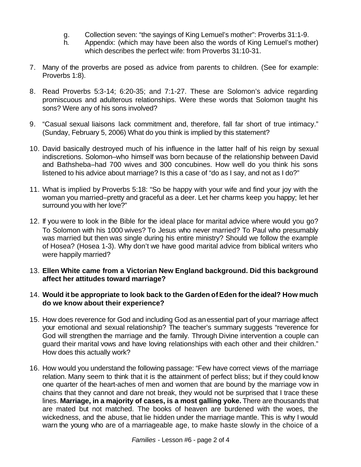- g. Collection seven: "the sayings of King Lemuel's mother": Proverbs 31:1-9.
- h. Appendix: (which may have been also the words of King Lemuel's mother) which describes the perfect wife: from Proverbs 31:10-31.
- 7. Many of the proverbs are posed as advice from parents to children. (See for example: Proverbs 1:8).
- 8. Read Proverbs 5:3-14; 6:20-35; and 7:1-27. These are Solomon's advice regarding promiscuous and adulterous relationships. Were these words that Solomon taught his sons? Were any of his sons involved?
- 9. "Casual sexual liaisons lack commitment and, therefore, fall far short of true intimacy." (Sunday, February 5, 2006) What do you think is implied by this statement?
- 10. David basically destroyed much of his influence in the latter half of his reign by sexual indiscretions. Solomon–who himself was born because of the relationship between David and Bathsheba–had 700 wives and 300 concubines. How well do you think his sons listened to his advice about marriage? Is this a case of "do as I say, and not as I do?"
- 11. What is implied by Proverbs 5:18: "So be happy with your wife and find your joy with the woman you married–pretty and graceful as a deer. Let her charms keep you happy; let her surround you with her love?"
- 12. If you were to look in the Bible for the ideal place for marital advice where would you go? To Solomon with his 1000 wives? To Jesus who never married? To Paul who presumably was married but then was single during his entire ministry? Should we follow the example of Hosea? (Hosea 1-3). Why don't we have good marital advice from biblical writers who were happily married?
- 13. **Ellen White came from a Victorian New England background. Did this background affect her attitudes toward marriage?**

## 14. **Would it be appropriate to look back to the Garden ofEden forthe ideal? How much do we know about their experience?**

- 15. How does reverence for God and including God as anessential part of your marriage affect your emotional and sexual relationship? The teacher's summary suggests "reverence for God will strengthen the marriage and the family. Through Divine intervention a couple can guard their marital vows and have loving relationships with each other and their children." How does this actually work?
- 16. How would you understand the following passage: "Few have correct views of the marriage relation. Many seem to think that it is the attainment of perfect bliss; but if they could know one quarter of the heart-aches of men and women that are bound by the marriage vow in chains that they cannot and dare not break, they would not be surprised that I trace these lines. **Marriage, in a majority of cases, is a most galling yoke.** There are thousands that are mated but not matched. The books of heaven are burdened with the woes, the wickedness, and the abuse, that lie hidden under the marriage mantle. This is why I would warn the young who are of a marriageable age, to make haste slowly in the choice of a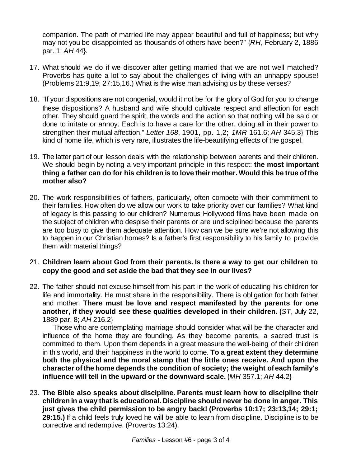companion. The path of married life may appear beautiful and full of happiness; but why may not you be disappointed as thousands of others have been?" {*RH*, February 2, 1886 par. 1; *AH* 44}.

- 17. What should we do if we discover after getting married that we are not well matched? Proverbs has quite a lot to say about the challenges of living with an unhappy spouse! (Problems 21:9,19; 27:15,16.) What is the wise man advising us by these verses?
- 18. "If your dispositions are not congenial, would it not be for the glory of God for you to change these dispositions? A husband and wife should cultivate respect and affection for each other. They should guard the spirit, the words and the action so that nothing will be said or done to irritate or annoy. Each is to have a care for the other, doing all in their power to strengthen their mutual affection." *Letter 168*, 1901, pp. 1,2; *1MR* 161.6; *AH* 345.3} This kind of home life, which is very rare, illustrates the life-beautifying effects of the gospel.
- 19. The latter part of our lesson deals with the relationship between parents and their children. We should begin by noting a very important principle in this respect: **the most important thing a father can do for his children is to love their mother. Would this be true ofthe mother also?**
- 20. The work responsibilities of fathers, particularly, often compete with their commitment to their families. How often do we allow our work to take priority over our families? What kind of legacy is this passing to our children? Numerous Hollywood films have been made on the subject of children who despise their parents or are undisciplined because the parents are too busy to give them adequate attention. How can we be sure we're not allowing this to happen in our Christian homes? Is a father's first responsibility to his family to provide them with material things?
- 21. **Children learn about God from their parents. Is there a way to get our children to copy the good and set aside the bad that they see in our lives?**
- 22. The father should not excuse himself from his part in the work of educating his children for life and immortality. He must share in the responsibility. There is obligation for both father and mother. **There must be love and respect manifested by the parents for one another, if they would see these qualities developed in their children.** {*ST*, July 22, 1889 par. 8; *AH* 216.2}

Those who are contemplating marriage should consider what will be the character and influence of the home they are founding. As they become parents, a sacred trust is committed to them. Upon them depends in a great measure the well-being of their children in this world, and their happiness in the world to come. **To a great extent they determine both the physical and the moral stamp that the little ones receive. And upon the character ofthe home depends the condition of society; the weight ofeach family's influence will tell in the upward or the downward scale.** {*MH* 357.1; *AH* 44.2}

23. **The Bible also speaks about discipline. Parents must learn how to discipline their children in a way that is educational. Discipline should never be done in anger. This just gives the child permission to be angry back! (Proverbs 10:17; 23:13,14; 29:1; 29:15.)** If a child feels truly loved he will be able to learn from discipline. Discipline is to be corrective and redemptive. (Proverbs 13:24).